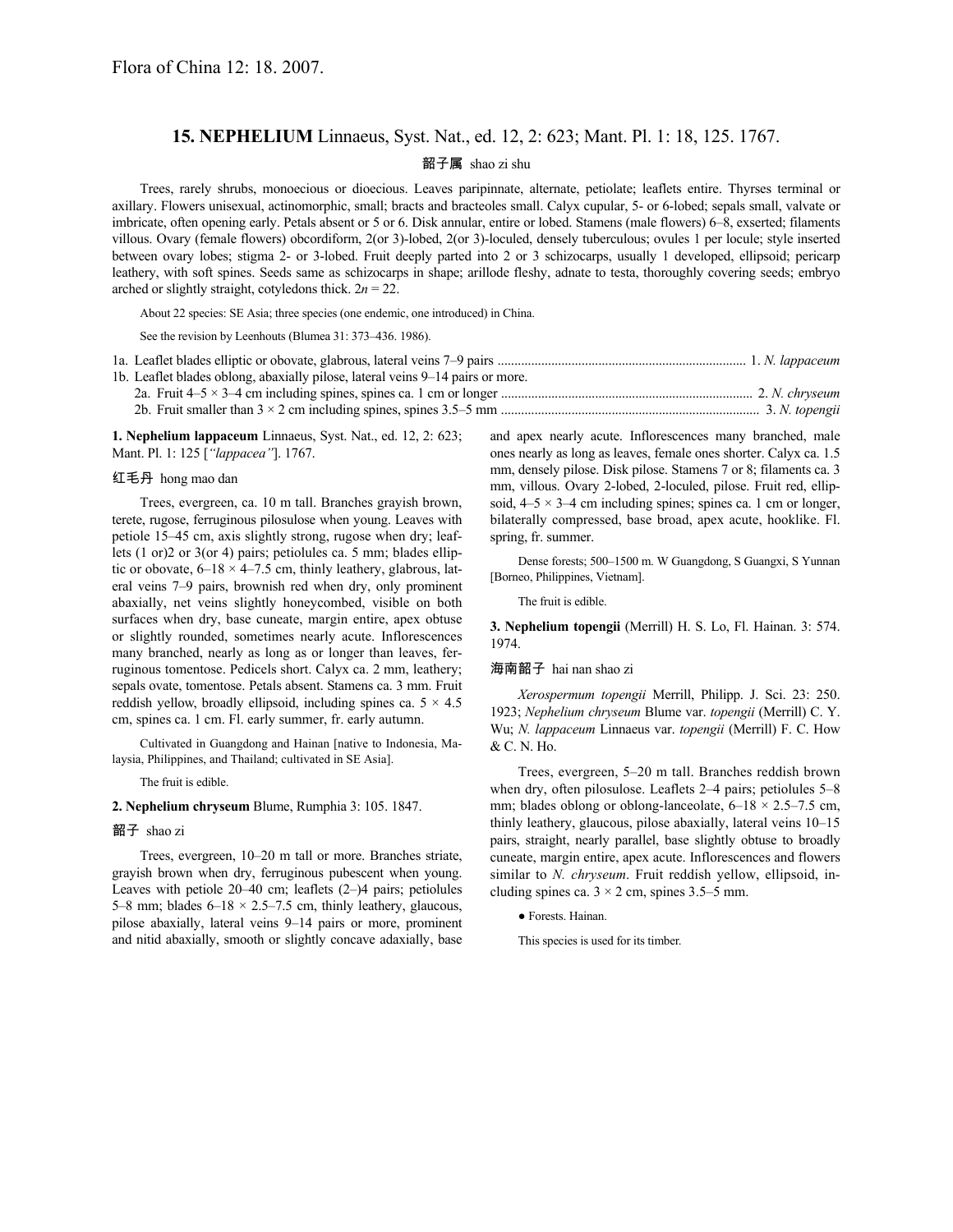# **15. NEPHELIUM** Linnaeus, Syst. Nat., ed. 12, 2: 623; Mant. Pl. 1: 18, 125. 1767.

### 韶子属 shao zi shu

Trees, rarely shrubs, monoecious or dioecious. Leaves paripinnate, alternate, petiolate; leaflets entire. Thyrses terminal or axillary. Flowers unisexual, actinomorphic, small; bracts and bracteoles small. Calyx cupular, 5- or 6-lobed; sepals small, valvate or imbricate, often opening early. Petals absent or 5 or 6. Disk annular, entire or lobed. Stamens (male flowers) 6–8, exserted; filaments villous. Ovary (female flowers) obcordiform, 2(or 3)-lobed, 2(or 3)-loculed, densely tuberculous; ovules 1 per locule; style inserted between ovary lobes; stigma 2- or 3-lobed. Fruit deeply parted into 2 or 3 schizocarps, usually 1 developed, ellipsoid; pericarp leathery, with soft spines. Seeds same as schizocarps in shape; arillode fleshy, adnate to testa, thoroughly covering seeds; embryo arched or slightly straight, cotyledons thick.  $2n = 22$ .

About 22 species: SE Asia; three species (one endemic, one introduced) in China.

See the revision by Leenhouts (Blumea 31: 373–436. 1986).

| 1b. Leaflet blades oblong, abaxially pilose, lateral veins 9–14 pairs or more. |  |
|--------------------------------------------------------------------------------|--|
|                                                                                |  |
|                                                                                |  |

**1. Nephelium lappaceum** Linnaeus, Syst. Nat., ed. 12, 2: 623; Mant. Pl. 1: 125 [*"lappacea"*]. 1767.

## 红毛丹 hong mao dan

Trees, evergreen, ca. 10 m tall. Branches grayish brown, terete, rugose, ferruginous pilosulose when young. Leaves with petiole 15–45 cm, axis slightly strong, rugose when dry; leaflets (1 or)2 or 3(or 4) pairs; petiolules ca. 5 mm; blades elliptic or obovate,  $6-18 \times 4-7.5$  cm, thinly leathery, glabrous, lateral veins 7–9 pairs, brownish red when dry, only prominent abaxially, net veins slightly honeycombed, visible on both surfaces when dry, base cuneate, margin entire, apex obtuse or slightly rounded, sometimes nearly acute. Inflorescences many branched, nearly as long as or longer than leaves, ferruginous tomentose. Pedicels short. Calyx ca. 2 mm, leathery; sepals ovate, tomentose. Petals absent. Stamens ca. 3 mm. Fruit reddish yellow, broadly ellipsoid, including spines ca.  $5 \times 4.5$ cm, spines ca. 1 cm. Fl. early summer, fr. early autumn.

Cultivated in Guangdong and Hainan [native to Indonesia, Malaysia, Philippines, and Thailand; cultivated in SE Asia].

The fruit is edible.

## **2. Nephelium chryseum** Blume, Rumphia 3: 105. 1847.

#### 韶子 shao zi

Trees, evergreen, 10–20 m tall or more. Branches striate, grayish brown when dry, ferruginous pubescent when young. Leaves with petiole 20–40 cm; leaflets (2–)4 pairs; petiolules 5–8 mm; blades  $6-18 \times 2.5-7.5$  cm, thinly leathery, glaucous, pilose abaxially, lateral veins 9–14 pairs or more, prominent and nitid abaxially, smooth or slightly concave adaxially, base and apex nearly acute. Inflorescences many branched, male ones nearly as long as leaves, female ones shorter. Calyx ca. 1.5 mm, densely pilose. Disk pilose. Stamens 7 or 8; filaments ca. 3 mm, villous. Ovary 2-lobed, 2-loculed, pilose. Fruit red, ellipsoid,  $4-5 \times 3-4$  cm including spines; spines ca. 1 cm or longer, bilaterally compressed, base broad, apex acute, hooklike. Fl. spring, fr. summer.

Dense forests; 500–1500 m. W Guangdong, S Guangxi, S Yunnan [Borneo, Philippines, Vietnam].

The fruit is edible.

**3. Nephelium topengii** (Merrill) H. S. Lo, Fl. Hainan. 3: 574. 1974.

#### 海南韶子 hai nan shao zi

*Xerospermum topengii* Merrill, Philipp. J. Sci. 23: 250. 1923; *Nephelium chryseum* Blume var. *topengii* (Merrill) C. Y. Wu; *N. lappaceum* Linnaeus var. *topengii* (Merrill) F. C. How & C. N. Ho.

Trees, evergreen, 5–20 m tall. Branches reddish brown when dry, often pilosulose. Leaflets 2–4 pairs; petiolules 5–8 mm; blades oblong or oblong-lanceolate,  $6-18 \times 2.5-7.5$  cm, thinly leathery, glaucous, pilose abaxially, lateral veins 10–15 pairs, straight, nearly parallel, base slightly obtuse to broadly cuneate, margin entire, apex acute. Inflorescences and flowers similar to *N. chryseum*. Fruit reddish yellow, ellipsoid, including spines ca.  $3 \times 2$  cm, spines 3.5–5 mm.

● Forests. Hainan.

This species is used for its timber.